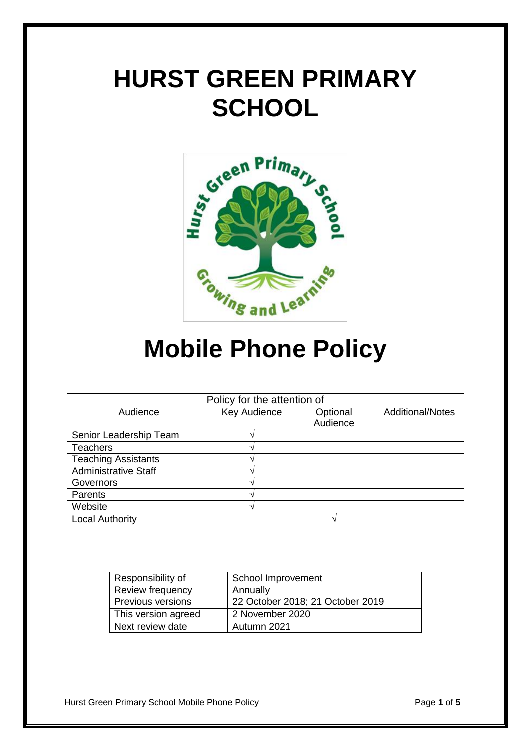# **HURST GREEN PRIMARY SCHOOL**



## **Mobile Phone Policy**

| Policy for the attention of |              |                      |                         |  |
|-----------------------------|--------------|----------------------|-------------------------|--|
| Audience                    | Key Audience | Optional<br>Audience | <b>Additional/Notes</b> |  |
| Senior Leadership Team      |              |                      |                         |  |
| <b>Teachers</b>             |              |                      |                         |  |
| <b>Teaching Assistants</b>  |              |                      |                         |  |
| <b>Administrative Staff</b> |              |                      |                         |  |
| Governors                   |              |                      |                         |  |
| Parents                     |              |                      |                         |  |
| Website                     |              |                      |                         |  |
| <b>Local Authority</b>      |              |                      |                         |  |

| Responsibility of        | School Improvement               |
|--------------------------|----------------------------------|
| Review frequency         | Annually                         |
| <b>Previous versions</b> | 22 October 2018; 21 October 2019 |
| This version agreed      | 2 November 2020                  |
| Next review date         | Autumn 2021                      |

Hurst Green Primary School Mobile Phone Policy **Page 1** of 5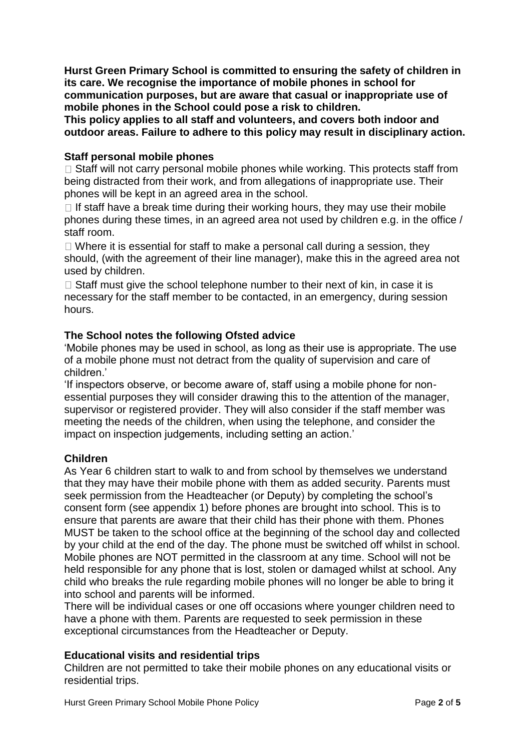**Hurst Green Primary School is committed to ensuring the safety of children in its care. We recognise the importance of mobile phones in school for communication purposes, but are aware that casual or inappropriate use of mobile phones in the School could pose a risk to children.** 

**This policy applies to all staff and volunteers, and covers both indoor and outdoor areas. Failure to adhere to this policy may result in disciplinary action.** 

#### **Staff personal mobile phones**

 $\Box$  Staff will not carry personal mobile phones while working. This protects staff from being distracted from their work, and from allegations of inappropriate use. Their phones will be kept in an agreed area in the school.

 $\Box$  If staff have a break time during their working hours, they may use their mobile phones during these times, in an agreed area not used by children e.g. in the office / staff room.

 $\Box$  Where it is essential for staff to make a personal call during a session, they should, (with the agreement of their line manager), make this in the agreed area not used by children.

 $\Box$  Staff must give the school telephone number to their next of kin, in case it is necessary for the staff member to be contacted, in an emergency, during session hours.

#### **The School notes the following Ofsted advice**

'Mobile phones may be used in school, as long as their use is appropriate. The use of a mobile phone must not detract from the quality of supervision and care of children.'

'If inspectors observe, or become aware of, staff using a mobile phone for nonessential purposes they will consider drawing this to the attention of the manager, supervisor or registered provider. They will also consider if the staff member was meeting the needs of the children, when using the telephone, and consider the impact on inspection judgements, including setting an action.'

#### **Children**

As Year 6 children start to walk to and from school by themselves we understand that they may have their mobile phone with them as added security. Parents must seek permission from the Headteacher (or Deputy) by completing the school's consent form (see appendix 1) before phones are brought into school. This is to ensure that parents are aware that their child has their phone with them. Phones MUST be taken to the school office at the beginning of the school day and collected by your child at the end of the day. The phone must be switched off whilst in school. Mobile phones are NOT permitted in the classroom at any time. School will not be held responsible for any phone that is lost, stolen or damaged whilst at school. Any child who breaks the rule regarding mobile phones will no longer be able to bring it into school and parents will be informed.

There will be individual cases or one off occasions where younger children need to have a phone with them. Parents are requested to seek permission in these exceptional circumstances from the Headteacher or Deputy.

#### **Educational visits and residential trips**

Children are not permitted to take their mobile phones on any educational visits or residential trips.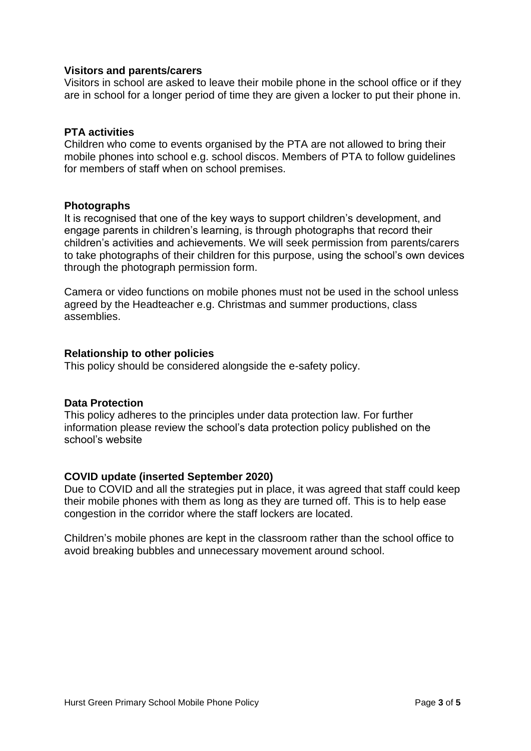#### **Visitors and parents/carers**

Visitors in school are asked to leave their mobile phone in the school office or if they are in school for a longer period of time they are given a locker to put their phone in.

#### **PTA activities**

Children who come to events organised by the PTA are not allowed to bring their mobile phones into school e.g. school discos. Members of PTA to follow guidelines for members of staff when on school premises.

#### **Photographs**

It is recognised that one of the key ways to support children's development, and engage parents in children's learning, is through photographs that record their children's activities and achievements. We will seek permission from parents/carers to take photographs of their children for this purpose, using the school's own devices through the photograph permission form.

Camera or video functions on mobile phones must not be used in the school unless agreed by the Headteacher e.g. Christmas and summer productions, class assemblies.

#### **Relationship to other policies**

This policy should be considered alongside the e-safety policy.

#### **Data Protection**

This policy adheres to the principles under data protection law. For further information please review the school's data protection policy published on the school's website

#### **COVID update (inserted September 2020)**

Due to COVID and all the strategies put in place, it was agreed that staff could keep their mobile phones with them as long as they are turned off. This is to help ease congestion in the corridor where the staff lockers are located.

Children's mobile phones are kept in the classroom rather than the school office to avoid breaking bubbles and unnecessary movement around school.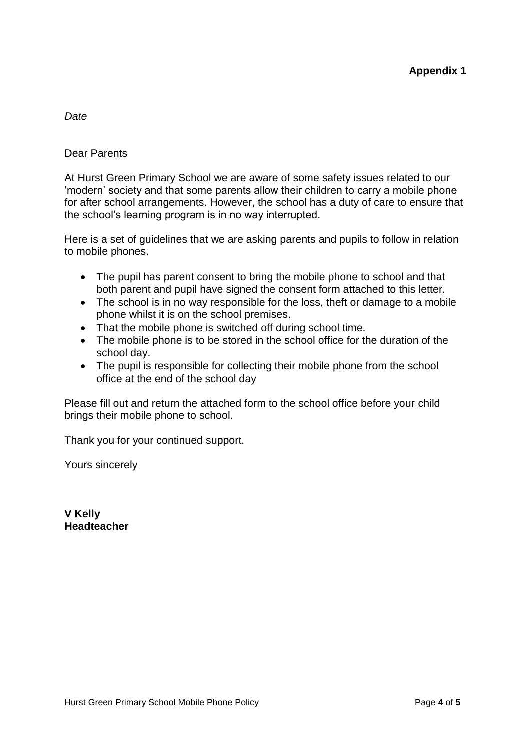#### *Date*

#### Dear Parents

At Hurst Green Primary School we are aware of some safety issues related to our 'modern' society and that some parents allow their children to carry a mobile phone for after school arrangements. However, the school has a duty of care to ensure that the school's learning program is in no way interrupted.

Here is a set of guidelines that we are asking parents and pupils to follow in relation to mobile phones.

- The pupil has parent consent to bring the mobile phone to school and that both parent and pupil have signed the consent form attached to this letter.
- The school is in no way responsible for the loss, theft or damage to a mobile phone whilst it is on the school premises.
- That the mobile phone is switched off during school time.
- The mobile phone is to be stored in the school office for the duration of the school day.
- The pupil is responsible for collecting their mobile phone from the school office at the end of the school day

Please fill out and return the attached form to the school office before your child brings their mobile phone to school.

Thank you for your continued support.

Yours sincerely

**V Kelly Headteacher**